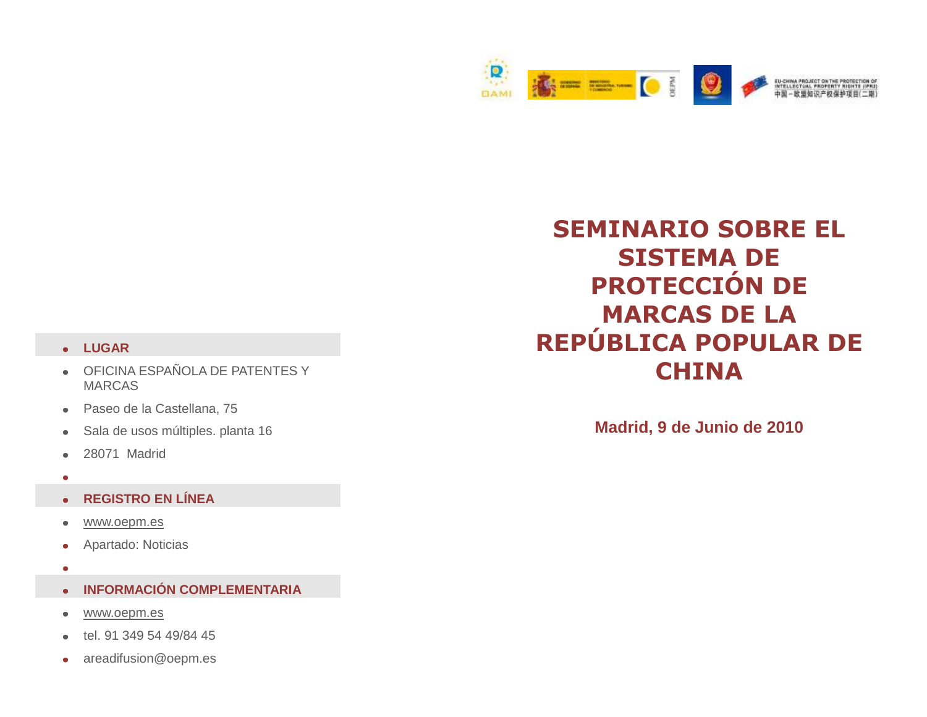

## **SEMINARIO SOBRE EL SISTEMA DE PROTECCIÓN DE MARCAS DE LA REPÚBLICA POPULAR DE CHINA**

**Madrid, 9 de Junio de 2010**

## **LUGAR**

- OFICINA ESPAÑOLA DE PATENTES Y  $\bullet$ MARCAS
- Paseo de la Castellana, 75  $\bullet$
- Sala de usos múltiples. planta 16  $\bullet$
- 28071 Madrid  $\bullet$
- $\bullet$

## **REGISTRO EN LÍNEA**  $\bullet$

- [www.oepm.es](http://www.oepm.es/)  $\bullet$
- Apartado: Noticias  $\bullet$
- $\bullet$
- **INFORMACIÓN COMPLEMENTARIA**  $\bullet$
- [www.oepm.es](http://www.oepm.es/)  $\bullet$
- tel. 91 349 54 49/84 45
- areadifusion@oepm.es $\bullet$